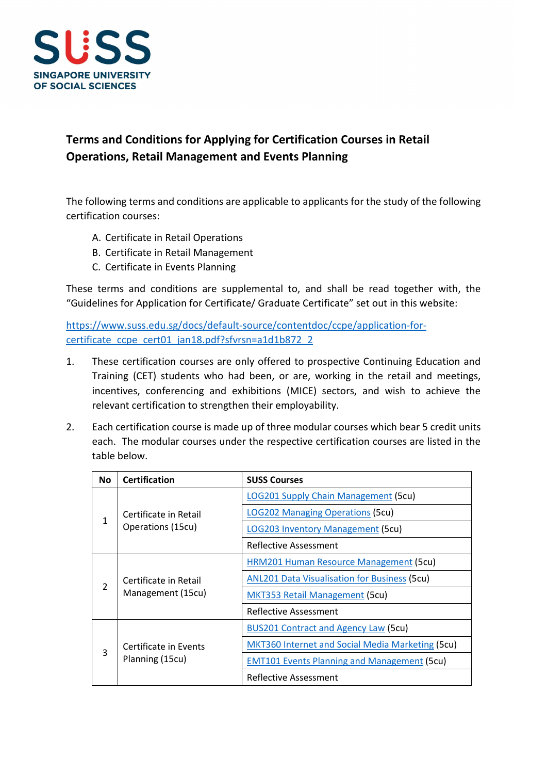

## **Terms and Conditions for Applying for Certification Courses in Retail Operations, Retail Management and Events Planning**

The following terms and conditions are applicable to applicants for the study of the following certification courses:

- A. Certificate in Retail Operations
- B. Certificate in Retail Management
- C. Certificate in Events Planning

These terms and conditions are supplemental to, and shall be read together with, the "Guidelines for Application for Certificate/ Graduate Certificate" set out in this website:

[https://www.suss.edu.sg/docs/default-source/contentdoc/ccpe/application-for](https://www.suss.edu.sg/docs/default-source/contentdoc/ccpe/application-for-certificate_ccpe_cert01_jan18.pdf?sfvrsn=a1d1b872_2)[certificate\\_ccpe\\_cert01\\_jan18.pdf?sfvrsn=a1d1b872\\_2](https://www.suss.edu.sg/docs/default-source/contentdoc/ccpe/application-for-certificate_ccpe_cert01_jan18.pdf?sfvrsn=a1d1b872_2)

- 1. These certification courses are only offered to prospective Continuing Education and Training (CET) students who had been, or are, working in the retail and meetings, incentives, conferencing and exhibitions (MICE) sectors, and wish to achieve the relevant certification to strengthen their employability.
- 2. Each certification course is made up of three modular courses which bear 5 credit units each. The modular courses under the respective certification courses are listed in the table below.

| <b>No</b>     | <b>Certification</b>                       | <b>SUSS Courses</b>                                     |
|---------------|--------------------------------------------|---------------------------------------------------------|
| 1             | Certificate in Retail<br>Operations (15cu) | <b>LOG201 Supply Chain Management (5cu)</b>             |
|               |                                            | <b>LOG202 Managing Operations (5cu)</b>                 |
|               |                                            | <b>LOG203 Inventory Management (5cu)</b>                |
|               |                                            | Reflective Assessment                                   |
| $\mathcal{P}$ | Certificate in Retail<br>Management (15cu) | HRM201 Human Resource Management (5cu)                  |
|               |                                            | <b>ANL201 Data Visualisation for Business (5cu)</b>     |
|               |                                            | <b>MKT353 Retail Management (5cu)</b>                   |
|               |                                            | Reflective Assessment                                   |
| 3             | Certificate in Events<br>Planning (15cu)   | <b>BUS201 Contract and Agency Law (5cu)</b>             |
|               |                                            | <b>MKT360 Internet and Social Media Marketing (5cu)</b> |
|               |                                            | <b>EMT101 Events Planning and Management (5cu)</b>      |
|               |                                            | Reflective Assessment                                   |